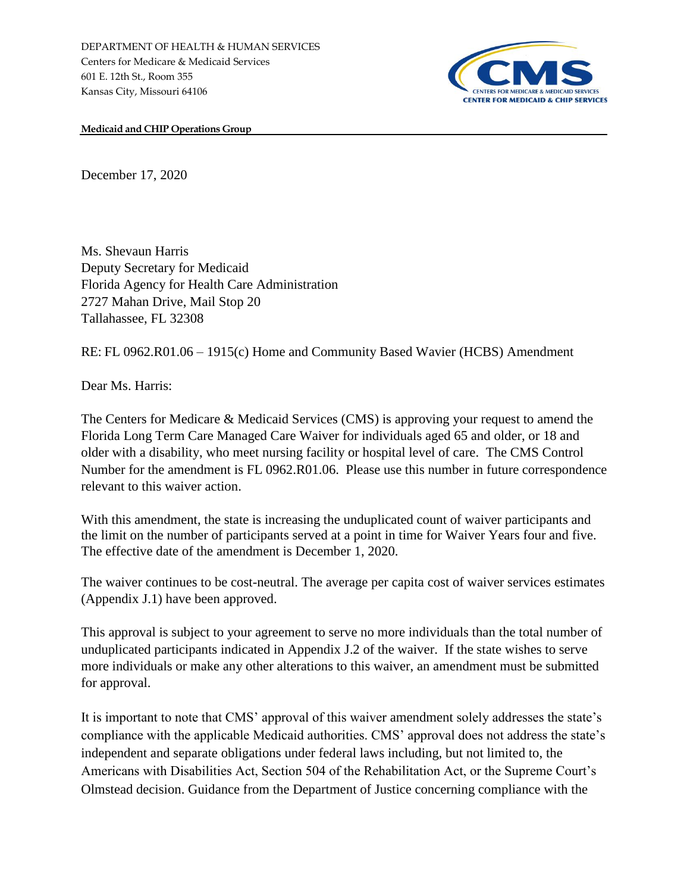

**Medicaid and CHIP Operations Group**

December 17, 2020

Ms. Shevaun Harris Deputy Secretary for Medicaid Florida Agency for Health Care Administration 2727 Mahan Drive, Mail Stop 20 Tallahassee, FL 32308

RE: FL 0962.R01.06 – 1915(c) Home and Community Based Wavier (HCBS) Amendment

Dear Ms. Harris:

The Centers for Medicare & Medicaid Services (CMS) is approving your request to amend the Florida Long Term Care Managed Care Waiver for individuals aged 65 and older, or 18 and older with a disability, who meet nursing facility or hospital level of care. The CMS Control Number for the amendment is FL 0962.R01.06. Please use this number in future correspondence relevant to this waiver action.

With this amendment, the state is increasing the unduplicated count of waiver participants and the limit on the number of participants served at a point in time for Waiver Years four and five. The effective date of the amendment is December 1, 2020.

The waiver continues to be cost-neutral. The average per capita cost of waiver services estimates (Appendix J.1) have been approved.

This approval is subject to your agreement to serve no more individuals than the total number of unduplicated participants indicated in Appendix J.2 of the waiver. If the state wishes to serve more individuals or make any other alterations to this waiver, an amendment must be submitted for approval.

It is important to note that CMS' approval of this waiver amendment solely addresses the state's compliance with the applicable Medicaid authorities. CMS' approval does not address the state's independent and separate obligations under federal laws including, but not limited to, the Americans with Disabilities Act, Section 504 of the Rehabilitation Act, or the Supreme Court's Olmstead decision. Guidance from the Department of Justice concerning compliance with the